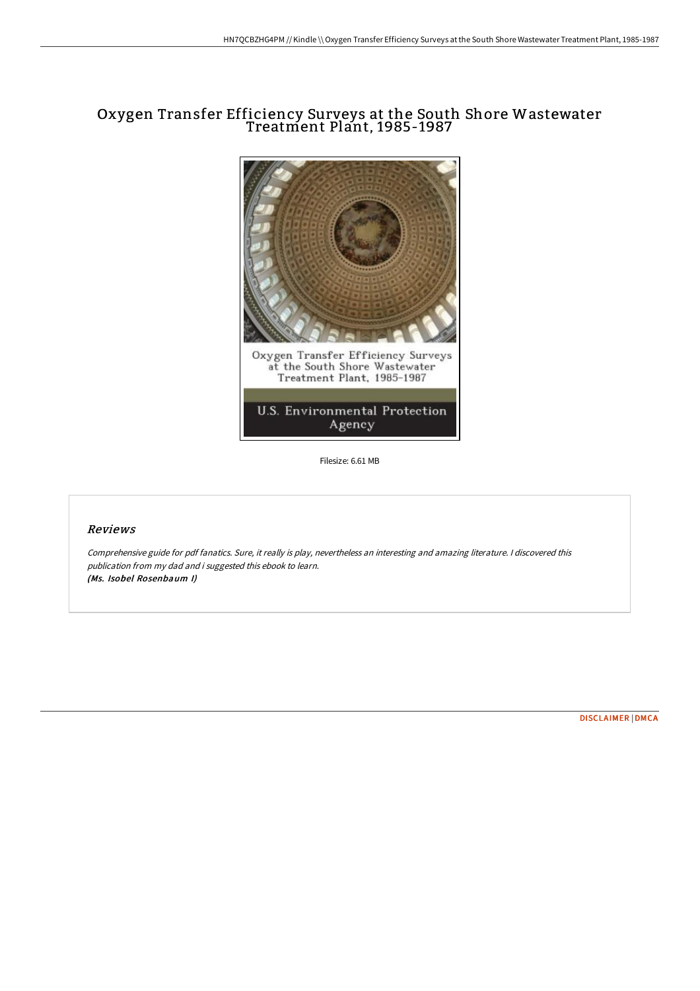# Oxygen Transfer Efficiency Surveys at the South Shore Wastewater Treatment Plant, 1985-1987



Filesize: 6.61 MB

## Reviews

Comprehensive guide for pdf fanatics. Sure, it really is play, nevertheless an interesting and amazing literature. <sup>I</sup> discovered this publication from my dad and i suggested this ebook to learn. (Ms. Isobel Rosenbaum I)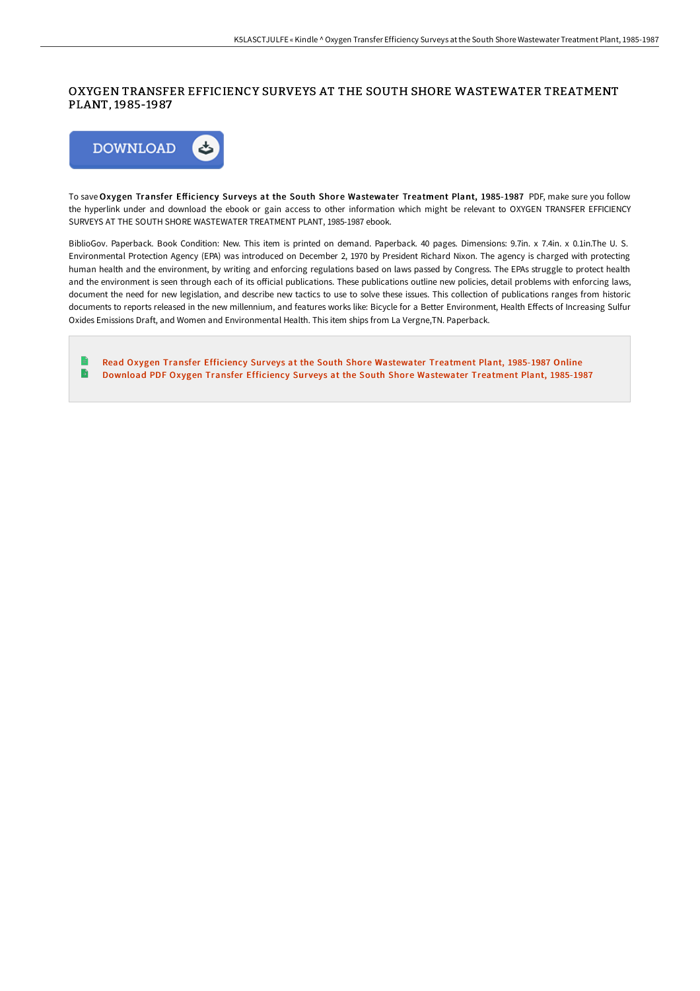## OXYGEN TRANSFER EFFICIENCY SURVEYS AT THE SOUTH SHORE WASTEWATER TREATMENT PLANT, 1985-1987



To save Oxygen Transfer Efficiency Surveys at the South Shore Wastewater Treatment Plant, 1985-1987 PDF, make sure you follow the hyperlink under and download the ebook or gain access to other information which might be relevant to OXYGEN TRANSFER EFFICIENCY SURVEYS AT THE SOUTH SHORE WASTEWATER TREATMENT PLANT, 1985-1987 ebook.

BiblioGov. Paperback. Book Condition: New. This item is printed on demand. Paperback. 40 pages. Dimensions: 9.7in. x 7.4in. x 0.1in.The U. S. Environmental Protection Agency (EPA) was introduced on December 2, 1970 by President Richard Nixon. The agency is charged with protecting human health and the environment, by writing and enforcing regulations based on laws passed by Congress. The EPAs struggle to protect health and the environment is seen through each of its official publications. These publications outline new policies, detail problems with enforcing laws, document the need for new legislation, and describe new tactics to use to solve these issues. This collection of publications ranges from historic documents to reports released in the new millennium, and features works like: Bicycle for a Better Environment, Health Effects of Increasing Sulfur Oxides Emissions Draft, and Women and Environmental Health. This item ships from La Vergne,TN. Paperback.

E Read Oxygen Transfer Efficiency Surveys at the South Shore [Wastewater](http://techno-pub.tech/oxygen-transfer-efficiency-surveys-at-the-south-.html) Treatment Plant, 1985-1987 Online B Download PDF Oxygen Transfer Efficiency Surveys at the South Shore [Wastewater](http://techno-pub.tech/oxygen-transfer-efficiency-surveys-at-the-south-.html) Treatment Plant, 1985-1987